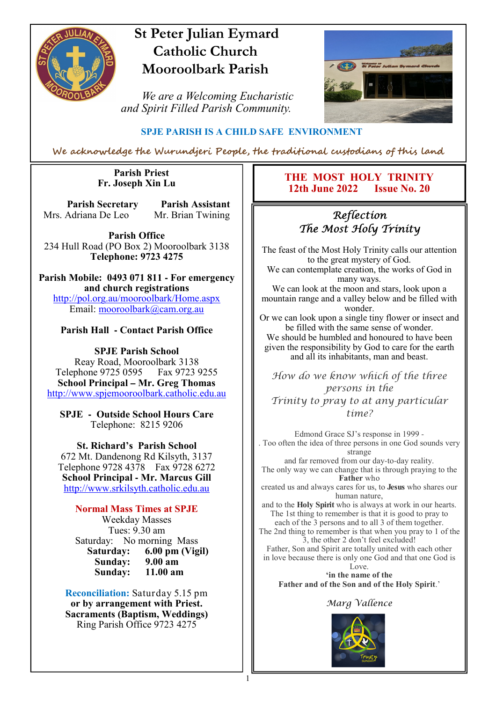

## **St Peter Julian Eymard Catholic Church Mooroolbark Parish**

 *We are a Welcoming Eucharistic and Spirit Filled Parish Community.*



#### **SPJE PARISH IS A CHILD SAFE ENVIRONMENT**

We acknowledge the Wurundjeri People, the traditional custodians of this land

#### **Parish Priest Fr. Joseph Xin Lu**

**Parish Secretary Parish Assistant** Mrs. Adriana De Leo Mr. Brian Twining

**Parish Office** 234 Hull Road (PO Box 2) Mooroolbark 3138 **Telephone: 9723 4275** 

**Parish Mobile: 0493 071 811 - For emergency and church registrations** http://pol.org.au/mooroolbark/Home.aspx Email: mooroolbark@cam.org.au

#### **Parish Hall - Contact Parish Office**

**SPJE Parish School** Reay Road, Mooroolbark 3138 Telephone 9725 0595 Fax 9723 9255 **School Principal – Mr. Greg Thomas** http://www.spjemooroolbark.catholic.edu.au

**SPJE - Outside School Hours Care** Telephone: 8215 9206

**St. Richard's Parish School** 672 Mt. Dandenong Rd Kilsyth, 3137 Telephone 9728 4378 Fax 9728 6272 **School Principal - Mr. Marcus Gill** http://www.srkilsyth.catholic.edu.au

**Normal Mass Times at SPJE**  Weekday Masses Tues: 9.30 am Saturday: No morning Mass<br>Saturday: 6.00 pm (Vig **6.00 pm (Vigil)**<br>9.00 am **Sunday: 9.00 am** Sunday:

**Reconciliation:** Saturday 5.15 pm **or by arrangement with Priest. Sacraments (Baptism, Weddings)**  Ring Parish Office 9723 4275

#### **THE MOST HOLY TRINITY 12th June 2022 Issue No. 20**

### Reflection The Most Holy Trinity

The feast of the Most Holy Trinity calls our attention to the great mystery of God.

We can contemplate creation, the works of God in many ways.

We can look at the moon and stars, look upon a mountain range and a valley below and be filled with wonder.

Or we can look upon a single tiny flower or insect and be filled with the same sense of wonder. We should be humbled and honoured to have been given the responsibility by God to care for the earth and all its inhabitants, man and beast.

How do we know which of the three persons in the Trinity to pray to at any particular time?

Edmond Grace SJ's response in 1999 - . Too often the idea of three persons in one God sounds very strange

and far removed from our day-to-day reality. The only way we can change that is through praying to the **Father** who

created us and always cares for us, to **Jesus** who shares our human nature,

and to the **Holy Spirit** who is always at work in our hearts. The 1st thing to remember is that it is good to pray to each of the 3 persons and to all 3 of them together.

The 2nd thing to remember is that when you pray to 1 of the 3, the other 2 don't feel excluded!

Father, Son and Spirit are totally united with each other in love because there is only one God and that one God is Love.

**'in the name of the Father and of the Son and of the Holy Spirit**.'

#### Marg Vallence

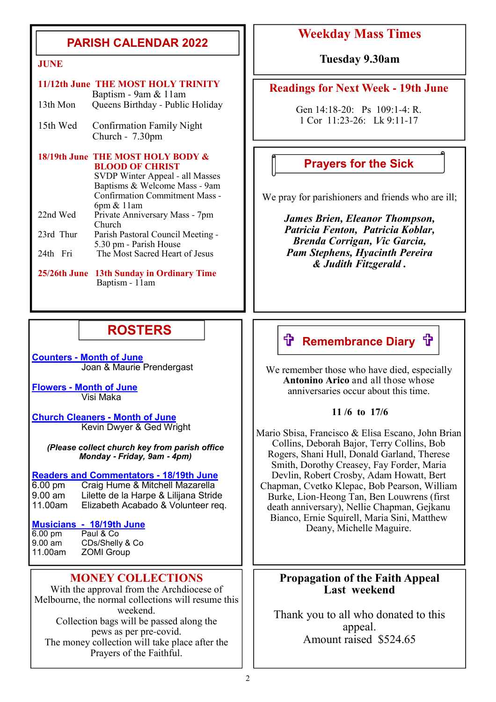### **PARISH CALENDAR 2022**

|           | 11/12th June THE MOST HOLY TRINITY                          |
|-----------|-------------------------------------------------------------|
|           | Baptism - 9am & 11am                                        |
| 13th Mon  | Queens Birthday - Public Holiday                            |
| 15th Wed  | <b>Confirmation Family Night</b>                            |
|           | Church $-7.30$ pm                                           |
|           | 18/19th June THE MOST HOLY BODY &                           |
|           | <b>BLOOD OF CHRIST</b>                                      |
|           | SVDP Winter Appeal - all Masses                             |
|           | Baptisms & Welcome Mass - 9am                               |
|           | <b>Confirmation Commitment Mass -</b>                       |
|           | $6pm \& 11am$                                               |
| 22nd Wed  | Private Anniversary Mass - 7pm<br>Church                    |
| 23rd Thur | Parish Pastoral Council Meeting -                           |
|           | 5.30 pm - Parish House                                      |
| 24th Fri  | The Most Sacred Heart of Jesus                              |
|           |                                                             |
|           | 25/26th June 13th Sunday in Ordinary Time<br>Baptism - 11am |

### **ROSTERS**

**Counters - Month of June**  Joan & Maurie Prendergast

**Flowers - Month of June**  Visi Maka

**Church Cleaners - Month of June** Kevin Dwyer & Ged Wright

*(Please collect church key from parish office Monday* **-** *Friday, 9am* **-** *4pm)*

#### **Readers and Commentators - 18/19th June**

6.00 pm Craig Hume & Mitchell Mazarella 9.00 am Lilette de la Harpe & Lilijana Stride 11.00am Elizabeth Acabado & Volunteer req.

### **Musicians - 18/19th June**

6.00 pm Paul & Co<br>9.00 am CDs/Shelly 9.00 am CDs/Shelly & Co<br>11.00am ZOMI Group **ZOMI Group** 

#### **MONEY COLLECTIONS**

With the approval from the Archdiocese of Melbourne, the normal collections will resume this weekend. Collection bags will be passed along the pews as per pre-covid. The money collection will take place after the Prayers of the Faithful.

### **Weekday Mass Times**

**JUNE Tuesday 9.30am**

#### **Readings for Next Week - 19th June**

Gen 14:18-20: Ps 109:1-4: R. 1 Cor 11:23-26: Lk 9:11-17

#### **Prayers for the Sick**

We pray for parishioners and friends who are ill;

*James Brien, Eleanor Thompson, Patricia Fenton, Patricia Koblar, Brenda Corrigan, Vic Garcia, Pam Stephens, Hyacinth Pereira & Judith Fitzgerald .*

### **ft Remembrance Diary ft**

We remember those who have died, especially **Antonino Arico** and all those whose anniversaries occur about this time.

#### **11 /6 to 17/6**

Mario Sbisa, Francisco & Elisa Escano, John Brian Collins, Deborah Bajor, Terry Collins, Bob Rogers, Shani Hull, Donald Garland, Therese Smith, Dorothy Creasey, Fay Forder, Maria Devlin, Robert Crosby, Adam Howatt, Bert Chapman, Cvetko Klepac, Bob Pearson, William Burke, Lion-Heong Tan, Ben Louwrens (first death anniversary), Nellie Chapman, Gejkanu Bianco, Ernie Squirell, Maria Sini, Matthew Deany, Michelle Maguire.

#### **Propagation of the Faith Appeal Last weekend**

Thank you to all who donated to this appeal. Amount raised \$524.65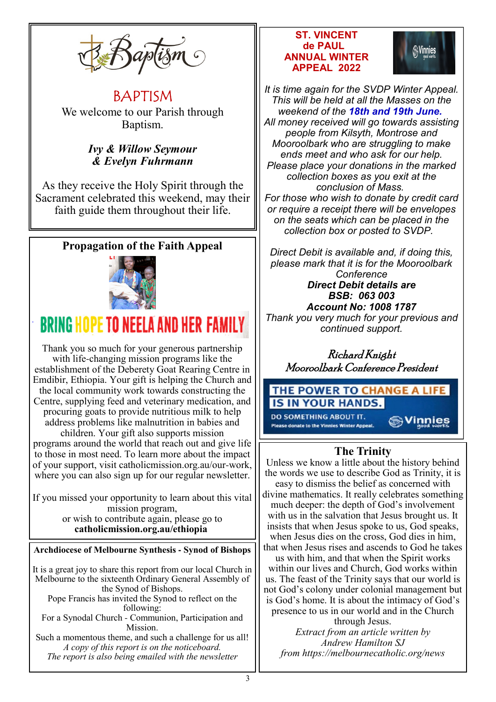

BAPTISM We welcome to our Parish through Baptism.

### *Ivy & Willow Seymour & Evelyn Fuhrmann*

As they receive the Holy Spirit through the Sacrament celebrated this weekend, may their faith guide them throughout their life.

### **Propagation of the Faith Appeal**



# **BRING HOPE TO NEELA AND HER FAMI**

Thank you so much for your generous partnership with life-changing mission programs like the establishment of the Deberety Goat Rearing Centre in Emdibir, Ethiopia. Your gift is helping the Church and the local community work towards constructing the Centre, supplying feed and veterinary medication, and procuring goats to provide nutritious milk to help address problems like malnutrition in babies and children. Your gift also supports mission programs around the world that reach out and give life to those in most need. To learn more about the impact of your support, visit catholicmission.org.au/our-work, where you can also sign up for our regular newsletter.

If you missed your opportunity to learn about this vital mission program, or wish to contribute again, please go to **catholicmission.org.au/ethiopia** 

#### **Archdiocese of Melbourne Synthesis - Synod of Bishops**

It is a great joy to share this report from our local Church in Melbourne to the sixteenth Ordinary General Assembly of the Synod of Bishops.

Pope Francis has invited the Synod to reflect on the following:

For a Synodal Church - Communion, Participation and Mission.

Such a momentous theme, and such a challenge for us all! *A copy of this report is on the noticeboard. The report is also being emailed with the newsletter*

#### **ST. VINCENT de PAUL ANNUAL WINTER APPEAL 2022**



*It is time again for the SVDP Winter Appeal. This will be held at all the Masses on the weekend of the 18th and 19th June. All money received will go towards assisting people from Kilsyth, Montrose and Mooroolbark who are struggling to make ends meet and who ask for our help. Please place your donations in the marked collection boxes as you exit at the conclusion of Mass. For those who wish to donate by credit card or require a receipt there will be envelopes on the seats which can be placed in the collection box or posted to SVDP.*

*Direct Debit is available and, if doing this, please mark that it is for the Mooroolbark Conference Direct Debit details are BSB: 063 003 Account No: 1008 1787*

*Thank you very much for your previous and continued support.*

Richard Knight Mooroolbark Conference President

#### THE POWER TO CHANGE A LIFE **IS IN YOUR HANDS. DO SOMETHING ABOUT IT.**

Please donate to the Vinnies Winter Appeal.

**Sylinnies** 

### **The Trinity**

Unless we know a little about the history behind the words we use to describe God as Trinity, it is

easy to dismiss the belief as concerned with divine mathematics. It really celebrates something much deeper: the depth of God's involvement with us in the salvation that Jesus brought us. It insists that when Jesus spoke to us, God speaks, when Jesus dies on the cross, God dies in him. that when Jesus rises and ascends to God he takes

us with him, and that when the Spirit works within our lives and Church, God works within us. The feast of the Trinity says that our world is not God's colony under colonial management but is God's home. It is about the intimacy of God's presence to us in our world and in the Church

through Jesus.

*Extract from an article written by Andrew Hamilton SJ from https://melbournecatholic.org/news*